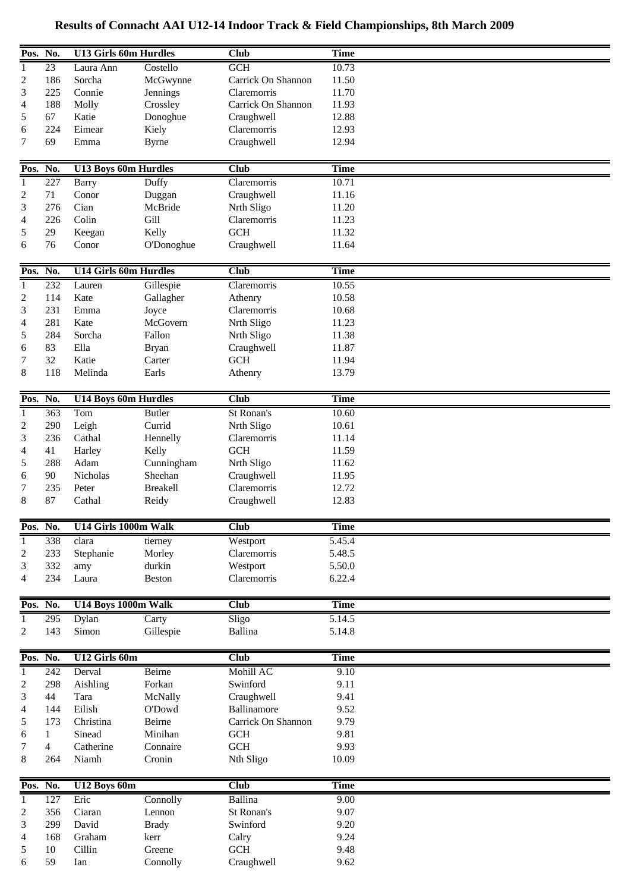| Pos. No.       |          | <b>U13 Girls 60m Hurdles</b> |                      | Club               | <b>Time</b>  |  |
|----------------|----------|------------------------------|----------------------|--------------------|--------------|--|
| 1              | 23       | Laura Ann                    | Costello             | <b>GCH</b>         | 10.73        |  |
| 2              | 186      | Sorcha                       | McGwynne             | Carrick On Shannon | 11.50        |  |
| 3              | 225      | Connie                       | Jennings             | Claremorris        | 11.70        |  |
| 4              | 188      | Molly                        | Crossley             | Carrick On Shannon | 11.93        |  |
| 5              | 67       | Katie                        | Donoghue             | Craughwell         | 12.88        |  |
|                | 224      |                              | Kiely                |                    | 12.93        |  |
| 6              |          | Eimear                       |                      | Claremorris        |              |  |
| 7              | 69       | Emma                         | <b>Byrne</b>         | Craughwell         | 12.94        |  |
| Pos. No.       |          | <b>U13 Boys 60m Hurdles</b>  |                      | Club               | <b>Time</b>  |  |
|                |          |                              |                      |                    |              |  |
| -1             | 227      | <b>Barry</b>                 | Duffy                | Claremorris        | 10.71        |  |
| 2              | 71       | Conor                        | Duggan               | Craughwell         | 11.16        |  |
| 3              | 276      | Cian                         | McBride              | Nrth Sligo         | 11.20        |  |
| 4              | 226      | Colin                        | Gill                 | Claremorris        | 11.23        |  |
| 5              | 29       | Keegan                       | Kelly                | <b>GCH</b>         | 11.32        |  |
| 6              | 76       | Conor                        | O'Donoghue           | Craughwell         | 11.64        |  |
|                |          |                              |                      |                    |              |  |
| Pos. No.       |          | <b>U14 Girls 60m Hurdles</b> |                      | Club               | <b>Time</b>  |  |
| $\mathbf{1}$   | 232      | Lauren                       | Gillespie            | Claremorris        | 10.55        |  |
| 2              | 114      | Kate                         | Gallagher            | Athenry            | 10.58        |  |
| 3              | 231      | Emma                         | Joyce                | Claremorris        | 10.68        |  |
| 4              | 281      | Kate                         | McGovern             | Nrth Sligo         | 11.23        |  |
| 5              | 284      | Sorcha                       | Fallon               | Nrth Sligo         | 11.38        |  |
| 6              | 83       | Ella                         | <b>Bryan</b>         | Craughwell         | 11.87        |  |
| 7              | 32       | Katie                        | Carter               | <b>GCH</b>         | 11.94        |  |
| 8              | 118      | Melinda                      | Earls                | Athenry            | 13.79        |  |
|                |          |                              |                      |                    |              |  |
| Pos. No.       |          | <b>U14 Boys 60m Hurdles</b>  |                      | Club               | <b>Time</b>  |  |
| $\overline{1}$ | 363      | Tom                          | <b>Butler</b>        | St Ronan's         | 10.60        |  |
| 2              | 290      | Leigh                        | Currid               | Nrth Sligo         | 10.61        |  |
| 3              | 236      | Cathal                       | Hennelly             | Claremorris        | 11.14        |  |
| 4              | 41       | Harley                       | Kelly                | GCH                | 11.59        |  |
| 5              | 288      | Adam                         | Cunningham           | Nrth Sligo         | 11.62        |  |
| 6              | 90       | Nicholas                     | Sheehan              | Craughwell         | 11.95        |  |
| 7              | 235      | Peter                        | <b>Breakell</b>      | Claremorris        | 12.72        |  |
| 8              | 87       | Cathal                       | Reidy                | Craughwell         | 12.83        |  |
|                |          |                              |                      |                    |              |  |
| Pos. No.       |          | U14 Girls 1000m Walk         |                      | <b>Club</b>        | <b>Time</b>  |  |
| 1              | 338      | clara                        | tierney              | Westport           | 5.45.4       |  |
| 2              | 233      | Stephanie                    | Morley               | Claremorris        | 5.48.5       |  |
| 3              | 332      | amy                          | durkin               | Westport           | 5.50.0       |  |
| 4              | 234      | Laura                        | <b>Beston</b>        | Claremorris        | 6.22.4       |  |
|                |          |                              |                      |                    |              |  |
| Pos. No.       |          | U14 Boys 1000m Walk          |                      | <b>Club</b>        | <b>Time</b>  |  |
| -1             | 295      | Dylan                        | Carty                | Sligo              | 5.14.5       |  |
| 2              | 143      | Simon                        | Gillespie            | <b>Ballina</b>     | 5.14.8       |  |
| Pos. No.       |          | U12 Girls 60m                |                      | <b>Club</b>        | <b>Time</b>  |  |
| 1              | 242      | Derval                       | Beirne               | Mohill AC          | 9.10         |  |
| 2              | 298      | Aishling                     | Forkan               | Swinford           | 9.11         |  |
| 3              | 44       | Tara                         | McNally              | Craughwell         | 9.41         |  |
| 4              | 144      | Eilish                       | O'Dowd               | Ballinamore        | 9.52         |  |
| 5              | 173      | Christina                    | Beirne               | Carrick On Shannon | 9.79         |  |
|                | 1        | Sinead                       | Minihan              | <b>GCH</b>         | 9.81         |  |
| 6<br>7         | 4        | Catherine                    | Connaire             | GCH                | 9.93         |  |
| 8              | 264      | Niamh                        | Cronin               | Nth Sligo          | 10.09        |  |
|                |          |                              |                      |                    |              |  |
| Pos. No.       |          | U12 Boys 60m                 |                      | <b>Club</b>        | <b>Time</b>  |  |
| $\mathbf{1}$   | 127      | Eric                         | Connolly             | <b>Ballina</b>     | 9.00         |  |
|                |          |                              |                      |                    |              |  |
| 2              | 356      | Ciaran                       | Lennon               | St Ronan's         | 9.07         |  |
| 3              | 299      | David                        |                      | Swinford           | 9.20         |  |
| 4              | 168      | Graham                       | <b>Brady</b><br>kerr |                    |              |  |
| 5              |          |                              | Greene               | Calry              | 9.24         |  |
| 6              | 10<br>59 | Cillin<br>Ian                | Connolly             | GCH<br>Craughwell  | 9.48<br>9.62 |  |

## **Results of Connacht AAI U12-14 Indoor Track & Field Championships, 8th March 2009**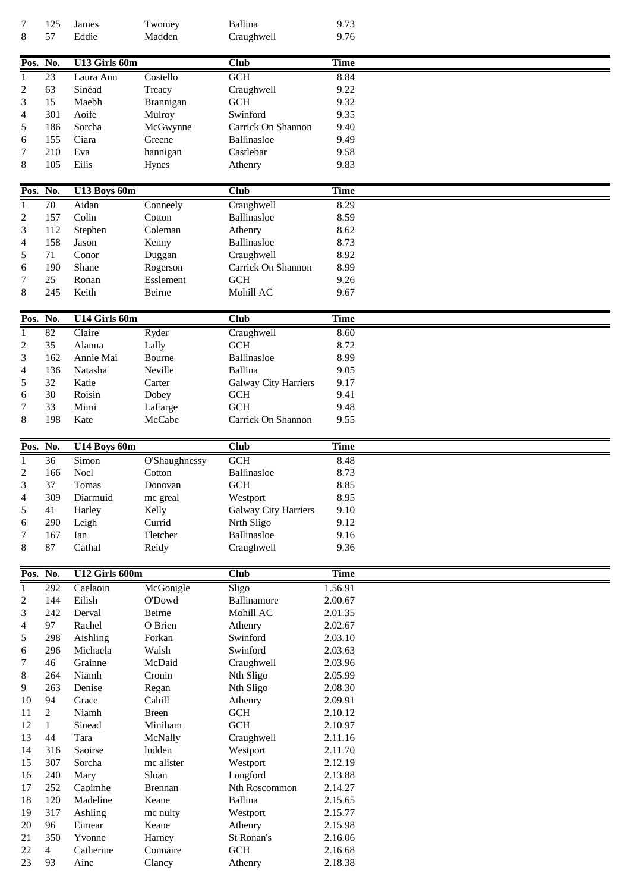| $\tau$                   | 125                  | James             | Twomey                      | <b>Ballina</b>              | 9.73               |  |
|--------------------------|----------------------|-------------------|-----------------------------|-----------------------------|--------------------|--|
| 8                        | 57                   | Eddie             | Madden                      | Craughwell                  | 9.76               |  |
|                          |                      |                   |                             |                             |                    |  |
| Pos. No.                 |                      | U13 Girls 60m     |                             | <b>Club</b>                 | <b>Time</b>        |  |
|                          |                      |                   | Costello                    | GCH                         |                    |  |
| 1                        | 23                   | Laura Ann         |                             |                             | 8.84               |  |
| $\overline{c}$           | 63                   | Sinéad            | Treacy                      | Craughwell                  | 9.22               |  |
| 3                        | 15                   | Maebh             | Brannigan                   | <b>GCH</b>                  | 9.32               |  |
| 4                        | 301                  | Aoife             | Mulroy                      | Swinford                    | 9.35               |  |
| 5                        | 186                  | Sorcha            | McGwynne                    | Carrick On Shannon          | 9.40               |  |
| 6                        | 155                  | Ciara             | Greene                      | Ballinasloe                 | 9.49               |  |
| 7                        | 210                  | Eva               | hannigan                    | Castlebar                   | 9.58               |  |
| 8                        | 105                  | Eilis             | Hynes                       | Athenry                     | 9.83               |  |
|                          |                      |                   |                             |                             |                    |  |
| Pos. No.                 |                      | U13 Boys 60m      |                             | <b>Club</b>                 | <b>Time</b>        |  |
| $\mathbf{1}$             | $\overline{70}$      | Aidan             | $\overline{\text{Connect}}$ | Craughwell                  | 8.29               |  |
| $\overline{c}$           | 157                  | Colin             | Cotton                      | Ballinasloe                 | 8.59               |  |
| 3                        | 112                  | Stephen           | Coleman                     | Athenry                     | 8.62               |  |
| 4                        | 158                  | Jason             | Kenny                       | Ballinasloe                 | 8.73               |  |
| 5                        | 71                   | Conor             | Duggan                      | Craughwell                  | 8.92               |  |
| 6                        | 190                  | Shane             | Rogerson                    | Carrick On Shannon          | 8.99               |  |
| 7                        | 25                   | Ronan             | Esslement                   | <b>GCH</b>                  | 9.26               |  |
|                          | 245                  | Keith             | Beirne                      | Mohill AC                   |                    |  |
| 8                        |                      |                   |                             |                             | 9.67               |  |
|                          |                      |                   |                             |                             |                    |  |
| Pos. No.                 |                      | U14 Girls 60m     |                             | <b>Club</b>                 | <b>Time</b>        |  |
| $\mathbf{1}$             | $\overline{82}$      | Claire            | Ryder                       | Craughwell                  | 8.60               |  |
| $\overline{c}$           | 35                   | Alanna            | Lally                       | <b>GCH</b>                  | 8.72               |  |
| 3                        | 162                  | Annie Mai         | Bourne                      | Ballinasloe                 | 8.99               |  |
| 4                        | 136                  | Natasha           | Neville                     | Ballina                     | 9.05               |  |
| 5                        | 32                   | Katie             | Carter                      | Galway City Harriers        | 9.17               |  |
| 6                        | 30                   | Roisin            | Dobey                       | <b>GCH</b>                  | 9.41               |  |
| 7                        | 33                   | Mimi              | LaFarge                     | <b>GCH</b>                  | 9.48               |  |
| $\,8\,$                  | 198                  | Kate              | McCabe                      | Carrick On Shannon          | 9.55               |  |
|                          |                      |                   |                             |                             |                    |  |
|                          |                      |                   |                             |                             |                    |  |
|                          |                      |                   |                             |                             |                    |  |
| Pos.                     | No.                  | U14 Boys 60m      |                             | Club                        | <b>Time</b>        |  |
| $\mathbf{1}$             | 36                   | Simon             | O'Shaughnessy               | GCH                         | 8.48               |  |
| $\overline{2}$           | 166                  | Noel              | Cotton                      | Ballinasloe                 | 8.73               |  |
| 3                        | 37                   | Tomas             | Donovan                     | <b>GCH</b>                  | 8.85               |  |
| $\overline{\mathcal{A}}$ | 309                  | Diarmuid          | mc greal                    | Westport                    | 8.95               |  |
| 5                        | 41                   | Harley            | Kelly                       | <b>Galway City Harriers</b> | 9.10               |  |
| 6                        | 290                  | Leigh             | Currid                      | Nrth Sligo                  | 9.12               |  |
| 7                        | 167                  | Ian               | Fletcher                    | Ballinasloe                 | 9.16               |  |
| 8                        | 87                   | Cathal            | Reidy                       | Craughwell                  | 9.36               |  |
|                          |                      |                   |                             |                             |                    |  |
| Pos.                     | No.                  | U12 Girls 600m    |                             | <b>Club</b>                 | <b>Time</b>        |  |
| $\mathbf{1}$             | 292                  | Caelaoin          | McGonigle                   | Sligo                       | 1.56.91            |  |
| $\overline{c}$           | 144                  | Eilish            | O'Dowd                      | Ballinamore                 | 2.00.67            |  |
| 3                        | 242                  | Derval            | Beirne                      | Mohill AC                   | 2.01.35            |  |
| 4                        | 97                   | Rachel            | O Brien                     | Athenry                     | 2.02.67            |  |
| 5                        | 298                  | Aishling          | Forkan                      | Swinford                    | 2.03.10            |  |
| 6                        | 296                  | Michaela          | Walsh                       | Swinford                    | 2.03.63            |  |
| 7                        |                      |                   |                             |                             |                    |  |
|                          | 46                   | Grainne           | McDaid                      | Craughwell                  | 2.03.96            |  |
| 8                        | 264                  | Niamh             | Cronin                      | Nth Sligo                   | 2.05.99            |  |
| 9                        | 263                  | Denise            | Regan                       | Nth Sligo                   | 2.08.30            |  |
| 10                       | 94                   | Grace             | Cahill                      | Athenry                     | 2.09.91            |  |
| 11                       | $\overline{2}$       | Niamh             | <b>Breen</b>                | <b>GCH</b>                  | 2.10.12            |  |
| 12                       | $\mathbf{1}$         | Sinead            | Miniham                     | <b>GCH</b>                  | 2.10.97            |  |
| 13                       | 44                   | Tara              | McNally                     | Craughwell                  | 2.11.16            |  |
| 14                       | 316                  | Saoirse           | ludden                      | Westport                    | 2.11.70            |  |
| 15                       | 307                  | Sorcha            | mc alister                  | Westport                    | 2.12.19            |  |
| 16                       | 240                  | Mary              | Sloan                       | Longford                    | 2.13.88            |  |
| 17                       | 252                  | Caoimhe           | <b>Brennan</b>              | Nth Roscommon               | 2.14.27            |  |
| 18                       | 120                  | Madeline          | Keane                       | Ballina                     | 2.15.65            |  |
| 19                       | 317                  | Ashling           | mc nulty                    | Westport                    | 2.15.77            |  |
| 20                       | 96                   | Eimear            | Keane                       | Athenry                     | 2.15.98            |  |
| 21                       | 350                  | Yvonne            | Harney                      | St Ronan's                  | 2.16.06            |  |
| 22<br>23                 | $\overline{4}$<br>93 | Catherine<br>Aine | Connaire<br>Clancy          | <b>GCH</b><br>Athenry       | 2.16.68<br>2.18.38 |  |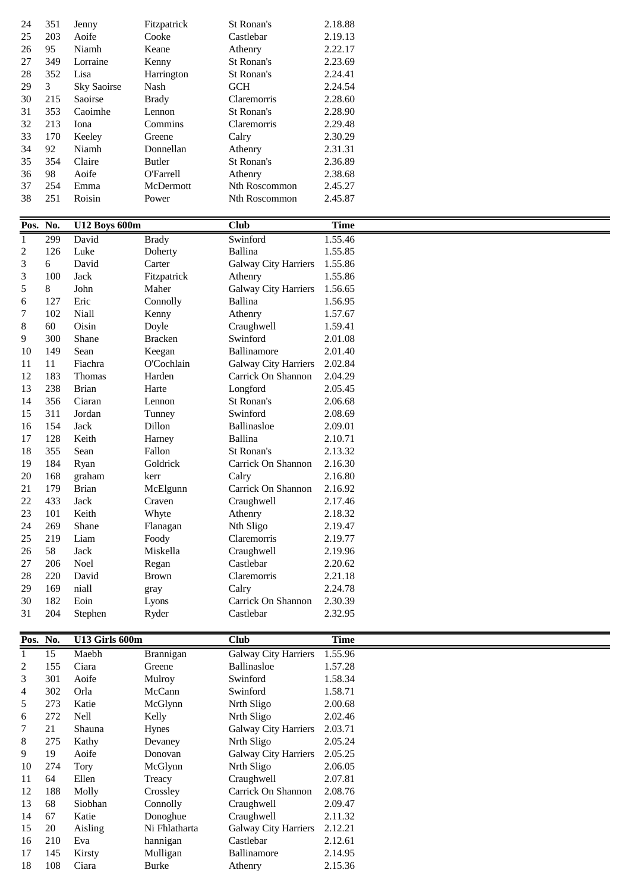| 24             | 351            | Jenny                  | Fitzpatrick              | St Ronan's                                    | 2.18.88            |
|----------------|----------------|------------------------|--------------------------|-----------------------------------------------|--------------------|
| 25             | 203            | Aoife                  | Cooke                    | Castlebar                                     | 2.19.13            |
| 26             | 95             | Niamh                  | Keane                    | Athenry                                       | 2.22.17            |
| 27             | 349            | Lorraine               | Kenny                    | St Ronan's                                    | 2.23.69            |
| 28             | 352            | Lisa                   | Harrington               | St Ronan's                                    | 2.24.41            |
| 29             | $\mathfrak{Z}$ | Sky Saoirse            | Nash                     | GCH                                           | 2.24.54            |
| 30             | 215            | Saoirse                | <b>Brady</b>             | Claremorris                                   | 2.28.60            |
| 31<br>32       | 353<br>213     | Caoimhe<br>Iona        | Lennon<br>Commins        | St Ronan's<br>Claremorris                     | 2.28.90<br>2.29.48 |
| 33             | 170            | Keeley                 | Greene                   | Calry                                         | 2.30.29            |
| 34             | 92             | Niamh                  | Donnellan                | Athenry                                       | 2.31.31            |
| 35             | 354            | Claire                 | <b>Butler</b>            | St Ronan's                                    | 2.36.89            |
| 36             | 98             | Aoife                  | O'Farrell                | Athenry                                       | 2.38.68            |
| 37             | 254            | Emma                   | McDermott                | Nth Roscommon                                 | 2.45.27            |
| 38             | 251            | Roisin                 | Power                    | Nth Roscommon                                 | 2.45.87            |
|                |                |                        |                          |                                               |                    |
| Pos. No.       |                | <b>U12 Boys 600m</b>   |                          | <b>Club</b>                                   | <b>Time</b>        |
| $\mathbf{1}$   | 299            | David                  | <b>Brady</b>             | Swinford                                      | 1.55.46            |
| 2              | 126            | Luke                   | Doherty                  | <b>Ballina</b>                                | 1.55.85            |
| 3              | 6              | David                  | Carter                   | <b>Galway City Harriers</b>                   | 1.55.86            |
| 3              | 100            | Jack                   | Fitzpatrick              | Athenry                                       | 1.55.86            |
| 5              | 8<br>127       | John<br>Eric           | Maher<br>Connolly        | <b>Galway City Harriers</b><br><b>Ballina</b> | 1.56.65<br>1.56.95 |
| 6<br>7         | 102            | Niall                  | Kenny                    | Athenry                                       | 1.57.67            |
| 8              | 60             | Oisin                  | Doyle                    | Craughwell                                    | 1.59.41            |
| 9              | 300            | Shane                  | <b>Bracken</b>           | Swinford                                      | 2.01.08            |
| 10             | 149            | Sean                   | Keegan                   | Ballinamore                                   | 2.01.40            |
| 11             | 11             | Fiachra                | O'Cochlain               | <b>Galway City Harriers</b>                   | 2.02.84            |
| 12             | 183            | Thomas                 | Harden                   | Carrick On Shannon                            | 2.04.29            |
| 13             | 238            | <b>Brian</b>           | Harte                    | Longford                                      | 2.05.45            |
| 14             | 356            | Ciaran                 | Lennon                   | St Ronan's                                    | 2.06.68            |
| 15             | 311            | Jordan                 | Tunney                   | Swinford                                      | 2.08.69            |
| 16             | 154            | Jack                   | Dillon                   | Ballinasloe                                   | 2.09.01            |
| 17             | 128            | Keith                  | Harney                   | Ballina                                       | 2.10.71            |
| 18             | 355            | Sean                   | Fallon                   | St Ronan's                                    | 2.13.32            |
| 19             | 184            | Ryan                   | Goldrick                 | Carrick On Shannon                            | 2.16.30            |
| 20<br>21       | 168<br>179     | graham<br><b>Brian</b> | kerr<br>McElgunn         | Calry<br>Carrick On Shannon                   | 2.16.80<br>2.16.92 |
| 22             | 433            | Jack                   | Craven                   | Craughwell                                    | 2.17.46            |
| 23             | 101            | Keith                  | Whyte                    | Athenry                                       | 2.18.32            |
| 24             | 269            | Shane                  | Flanagan                 | Nth Sligo                                     | 2.19.47            |
| 25             | 219            | Liam                   | Foody                    | Claremorris                                   | 2.19.77            |
| 26             | 58             | Jack                   | Miskella                 | Craughwell                                    | 2.19.96            |
| 27             | 206            | Noel                   | Regan                    | Castlebar                                     | 2.20.62            |
| 28             | 220            | David                  | <b>Brown</b>             | Claremorris                                   | 2.21.18            |
| 29             | 169            | niall                  | gray                     |                                               |                    |
| 30             | 182            |                        |                          | Calry                                         | 2.24.78            |
| 31             |                | Eoin                   | Lyons                    | Carrick On Shannon                            | 2.30.39            |
|                | 204            | Stephen                | Ryder                    | Castlebar                                     | 2.32.95            |
|                |                |                        |                          |                                               |                    |
|                | Pos. No.       | U13 Girls 600m         |                          | <b>Club</b>                                   | <b>Time</b>        |
| 1              | 15             | Maebh                  | Brannigan                | <b>Galway City Harriers</b>                   | 1.55.96            |
| $\overline{c}$ | 155            | Ciara                  | Greene                   | Ballinasloe                                   | 1.57.28            |
| 3              | 301            | Aoife                  | Mulroy                   | Swinford                                      | 1.58.34            |
| 4              | 302            | Orla                   | McCann                   | Swinford                                      | 1.58.71            |
| 5<br>6         | 273<br>272     | Katie<br>Nell          | McGlynn                  | Nrth Sligo<br>Nrth Sligo                      | 2.00.68<br>2.02.46 |
| 7              | 21             | Shauna                 | Kelly<br>Hynes           | Galway City Harriers                          | 2.03.71            |
| 8              | 275            | Kathy                  | Devaney                  | Nrth Sligo                                    | 2.05.24            |
| 9              | 19             | Aoife                  | Donovan                  | Galway City Harriers                          | 2.05.25            |
| 10             | 274            | Tory                   | McGlynn                  | Nrth Sligo                                    | 2.06.05            |
| 11             | 64             | Ellen                  | Treacy                   | Craughwell                                    | 2.07.81            |
| 12             | 188            | Molly                  | Crossley                 | Carrick On Shannon                            | 2.08.76            |
| 13             | 68             | Siobhan                | Connolly                 | Craughwell                                    | 2.09.47            |
| 14             | 67             | Katie                  | Donoghue                 | Craughwell                                    | 2.11.32            |
| 15             | $20\,$         | Aisling                | Ni Fhlatharta            | Galway City Harriers                          | 2.12.21            |
| 16             | 210            | Eva                    | hannigan                 | Castlebar                                     | 2.12.61            |
| 17<br>18       | 145<br>108     | Kirsty<br>Ciara        | Mulligan<br><b>Burke</b> | Ballinamore<br>Athenry                        | 2.14.95<br>2.15.36 |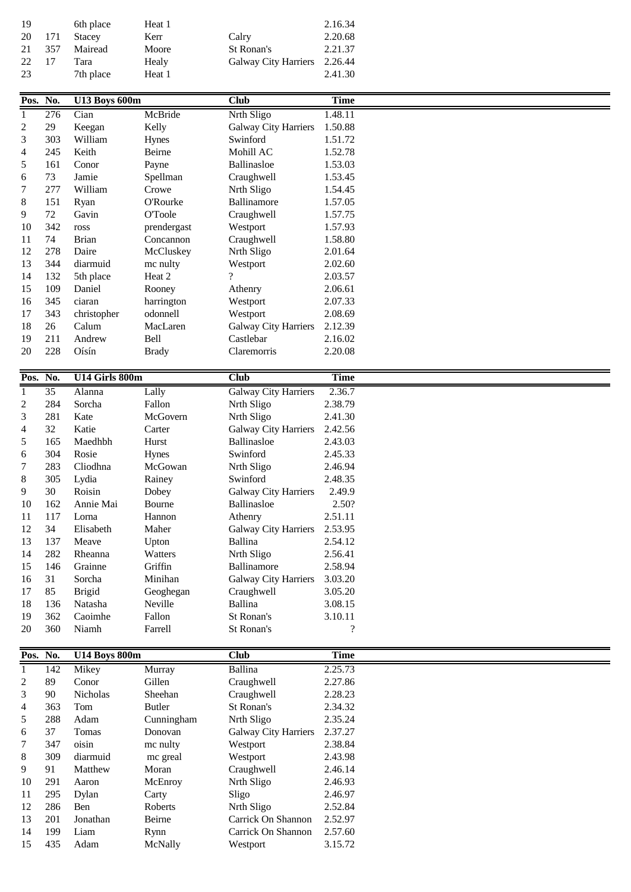| 19  |       | 6th place | Heat 1 |                              | 2.16.34 |
|-----|-------|-----------|--------|------------------------------|---------|
| 20  | - 171 | Stacey    | Kerr   | Calry                        | 2.20.68 |
| 21  | 357   | Mairead   | Moore  | St Ronan's                   | 2.21.37 |
| 22. | 17    | Tara      | Healy  | Galway City Harriers 2.26.44 |         |
| 23  |       | 7th place | Heat 1 |                              | 2.41.30 |

| Pos. No.       |                 | U13 Boys 600m        |                | <b>Club</b>                 | <b>Time</b> |  |
|----------------|-----------------|----------------------|----------------|-----------------------------|-------------|--|
| $\mathbf{1}$   | 276             | Cian                 | McBride        | Nrth Sligo                  | 1.48.11     |  |
| $\overline{c}$ | 29              | Keegan               | Kelly          | <b>Galway City Harriers</b> | 1.50.88     |  |
| 3              | 303             | William              | Hynes          | Swinford                    | 1.51.72     |  |
| 4              | 245             | Keith                | Beirne         | Mohill AC                   | 1.52.78     |  |
| 5              | 161             | Conor                | Payne          | Ballinasloe                 | 1.53.03     |  |
| 6              | 73              | Jamie                | Spellman       | Craughwell                  | 1.53.45     |  |
| 7              | 277             | William              | Crowe          | Nrth Sligo                  | 1.54.45     |  |
| 8              | 151             | Ryan                 | O'Rourke       | Ballinamore                 | 1.57.05     |  |
| 9              | $72\,$          | Gavin                | <b>O'Toole</b> | Craughwell                  | 1.57.75     |  |
| 10             | 342             | ross                 | prendergast    | Westport                    | 1.57.93     |  |
| 11             | 74              | <b>Brian</b>         | Concannon      | Craughwell                  | 1.58.80     |  |
| 12             | 278             | Daire                | McCluskey      | Nrth Sligo                  | 2.01.64     |  |
| 13             | 344             | diarmuid             | mc nulty       | Westport                    | 2.02.60     |  |
| 14             | 132             | 5th place            | Heat 2         | $\gamma$                    | 2.03.57     |  |
| 15             | 109             | Daniel               | Rooney         | Athenry                     | 2.06.61     |  |
| 16             | 345             | ciaran               | harrington     | Westport                    | 2.07.33     |  |
| 17             | 343             | christopher          | odonnell       | Westport                    | 2.08.69     |  |
| 18             | 26              | Calum                | MacLaren       | <b>Galway City Harriers</b> | 2.12.39     |  |
| 19             | 211             | Andrew               | Bell           | Castlebar                   | 2.16.02     |  |
| 20             | 228             | Oísín                | <b>Brady</b>   | Claremorris                 | 2.20.08     |  |
|                |                 |                      |                |                             |             |  |
| Pos.           | No.             | U14 Girls 800m       |                | <b>Club</b>                 | <b>Time</b> |  |
| $\mathbf{1}$   | $\overline{35}$ | Alanna               | Lally          | <b>Galway City Harriers</b> | 2.36.7      |  |
| $\overline{c}$ | 284             | Sorcha               | Fallon         | Nrth Sligo                  | 2.38.79     |  |
| 3              | 281             | Kate                 | McGovern       | Nrth Sligo                  | 2.41.30     |  |
| 4              | 32              | Katie                | Carter         | Galway City Harriers        | 2.42.56     |  |
| $\mathfrak s$  | 165             | Maedhbh              | Hurst          | Ballinasloe                 | 2.43.03     |  |
| 6              | 304             | Rosie                | Hynes          | Swinford                    | 2.45.33     |  |
| 7              | 283             | Cliodhna             | McGowan        | Nrth Sligo                  | 2.46.94     |  |
| 8              | 305             | Lydia                | Rainey         | Swinford                    | 2.48.35     |  |
| 9              | 30              | Roisin               | Dobey          | <b>Galway City Harriers</b> | 2.49.9      |  |
| 10             | 162             | Annie Mai            | Bourne         | Ballinasloe                 | 2.50?       |  |
| 11             | 117             | Lorna                | Hannon         | Athenry                     | 2.51.11     |  |
|                | 34              |                      |                |                             |             |  |
| 12             |                 | Elisabeth            | Maher          | <b>Galway City Harriers</b> | 2.53.95     |  |
| 13             | 137             | Meave                | Upton          | <b>Ballina</b>              | 2.54.12     |  |
| 14             | 282             | Rheanna              | Watters        | Nrth Sligo                  | 2.56.41     |  |
| 15             | 146             | Grainne              | Griffin        | Ballinamore                 | 2.58.94     |  |
| 16             | 31              | Sorcha               | Minihan        | Galway City Harriers        | 3.03.20     |  |
| 17             | 85              | <b>Brigid</b>        | Geoghegan      | Craughwell                  | 3.05.20     |  |
| 18             | 136             | Natasha              | Neville        | <b>Ballina</b>              | 3.08.15     |  |
| 19             | 362             | Caoimhe              | Fallon         | St Ronan's                  | 3.10.11     |  |
| 20             | 360             | Niamh                | Farrell        | St Ronan's                  | $\ddot{?}$  |  |
| Pos. No.       |                 |                      |                | <b>Club</b>                 | <b>Time</b> |  |
|                |                 | <b>U14 Boys 800m</b> |                |                             |             |  |
| $\mathbf{1}$   | 142             | Mikey                | Murray         | Ballina                     | 2.25.73     |  |
| $\overline{c}$ | 89              | Conor                | Gillen         | Craughwell                  | 2.27.86     |  |
| 3              | 90              | Nicholas             | Sheehan        | Craughwell                  | 2.28.23     |  |
| 4              | 363             | Tom                  | <b>Butler</b>  | St Ronan's                  | 2.34.32     |  |
| 5              | 288             | Adam                 | Cunningham     | Nrth Sligo                  | 2.35.24     |  |
| 6              | 37              | Tomas                | Donovan        | <b>Galway City Harriers</b> | 2.37.27     |  |
| 7              | 347             | oisin                | mc nulty       | Westport                    | 2.38.84     |  |
| 8              | 309             | diarmuid             | mc greal       | Westport                    | 2.43.98     |  |
| 9              | 91              | Matthew              | Moran          | Craughwell                  | 2.46.14     |  |
| 10             | 291             | Aaron                | McEnroy        | Nrth Sligo                  | 2.46.93     |  |
| 11             | 295             | Dylan                | Carty          | Sligo                       | 2.46.97     |  |
| 12             | 286             | Ben                  | Roberts        | Nrth Sligo                  | 2.52.84     |  |
| 13             | 201             | Jonathan             | Beirne         | Carrick On Shannon          | 2.52.97     |  |
| 14             | 199             | Liam                 | Rynn           | Carrick On Shannon          | 2.57.60     |  |
| 15             | 435             | Adam                 | McNally        | Westport                    | 3.15.72     |  |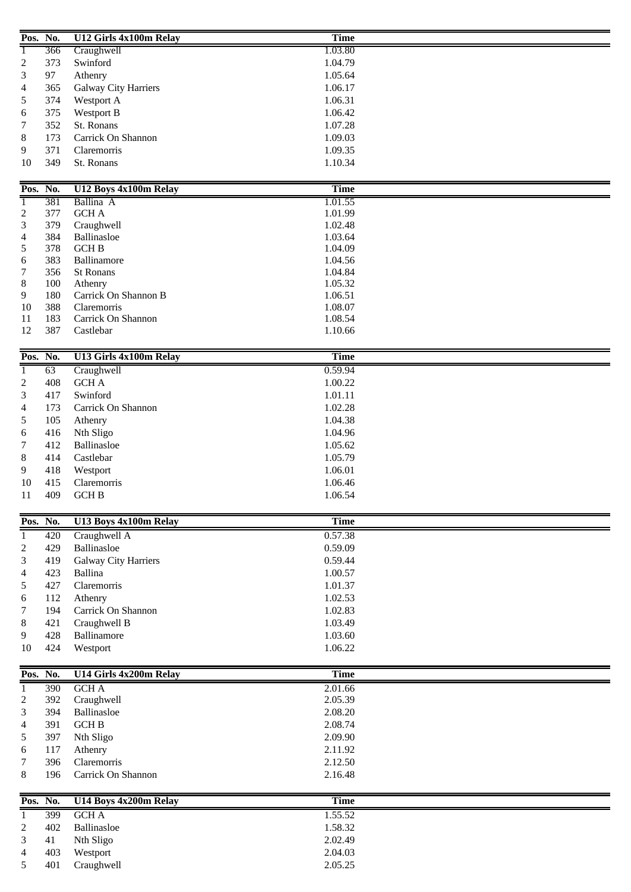| Pos. No.       |     | U12 Girls 4x100m Relay      | <b>Time</b> |  |
|----------------|-----|-----------------------------|-------------|--|
| 1              | 366 | Craughwell                  | 1.03.80     |  |
| $\overline{c}$ | 373 | Swinford                    | 1.04.79     |  |
| 3              | 97  | Athenry                     | 1.05.64     |  |
| 4              | 365 | <b>Galway City Harriers</b> | 1.06.17     |  |
| 5              | 374 | Westport A                  | 1.06.31     |  |
| 6              | 375 | Westport B                  | 1.06.42     |  |
| 7              | 352 | St. Ronans                  | 1.07.28     |  |
| 8              | 173 | Carrick On Shannon          | 1.09.03     |  |
| 9              | 371 | Claremorris                 | 1.09.35     |  |
| 10             | 349 | St. Ronans                  | 1.10.34     |  |
|                |     |                             |             |  |
| Pos. No.       |     | U12 Boys 4x100m Relay       | <b>Time</b> |  |
| Τ              | 381 | Ballina A                   | 1.01.55     |  |
| $\overline{c}$ | 377 | <b>GCHA</b>                 | 1.01.99     |  |
| 3              | 379 | Craughwell                  | 1.02.48     |  |
| 4              | 384 | Ballinasloe                 | 1.03.64     |  |
| 5              | 378 | <b>GCHB</b>                 | 1.04.09     |  |
| 6              | 383 | Ballinamore                 | 1.04.56     |  |
| 7              | 356 | <b>St Ronans</b>            | 1.04.84     |  |
| 8              | 100 | Athenry                     | 1.05.32     |  |
| 9              | 180 | Carrick On Shannon B        | 1.06.51     |  |
| 10             | 388 | Claremorris                 | 1.08.07     |  |
| 11             | 183 | Carrick On Shannon          | 1.08.54     |  |
| 12             | 387 | Castlebar                   | 1.10.66     |  |
|                |     |                             |             |  |
| Pos. No.       |     | U13 Girls 4x100m Relay      | <b>Time</b> |  |
| 1              | 63  | Craughwell                  | 0.59.94     |  |
| 2              | 408 | <b>GCHA</b>                 | 1.00.22     |  |
| 3              | 417 | Swinford                    | 1.01.11     |  |
| 4              | 173 | Carrick On Shannon          | 1.02.28     |  |
| 5              | 105 | Athenry                     | 1.04.38     |  |
| 6              | 416 | Nth Sligo                   | 1.04.96     |  |
| 7              | 412 | Ballinasloe                 | 1.05.62     |  |
| 8              | 414 | Castlebar                   | 1.05.79     |  |
| 9              | 418 | Westport                    | 1.06.01     |  |
| 10             | 415 | Claremorris                 | 1.06.46     |  |
| 11             | 409 | <b>GCH B</b>                | 1.06.54     |  |
|                |     |                             |             |  |
| Pos. No.       |     | U13 Boys 4x100m Relay       | <b>Time</b> |  |
| 1              | 420 | Craughwell A                | 0.57.38     |  |
| 2              | 429 | Ballinasloe                 | 0.59.09     |  |
| 3              | 419 | <b>Galway City Harriers</b> | 0.59.44     |  |
| 4              | 423 | Ballina                     | 1.00.57     |  |
| 5              | 427 | Claremorris                 | 1.01.37     |  |
| 6              | 112 | Athenry                     | 1.02.53     |  |
| 7              | 194 | Carrick On Shannon          | 1.02.83     |  |
| 8              | 421 | Craughwell B                | 1.03.49     |  |
| 9              | 428 | Ballinamore                 | 1.03.60     |  |
| 10             | 424 | Westport                    | 1.06.22     |  |
|                |     |                             |             |  |
| Pos. No.       |     | U14 Girls 4x200m Relay      | <b>Time</b> |  |
| 1              | 390 | <b>GCHA</b>                 | 2.01.66     |  |
| $\mathbf{2}$   | 392 | Craughwell                  | 2.05.39     |  |
| 3              | 394 | Ballinasloe                 | 2.08.20     |  |
| 4              | 391 | <b>GCH B</b>                | 2.08.74     |  |
| 5              | 397 | Nth Sligo                   | 2.09.90     |  |
| 6              | 117 | Athenry                     | 2.11.92     |  |
| 7              | 396 | Claremorris                 | 2.12.50     |  |
| 8              | 196 | Carrick On Shannon          | 2.16.48     |  |
|                |     |                             |             |  |
| Pos. No.       |     | U14 Boys 4x200m Relay       | <b>Time</b> |  |
| 1              | 399 | <b>GCHA</b>                 | 1.55.52     |  |
| 2              | 402 | Ballinasloe                 | 1.58.32     |  |
| 3              | 41  | Nth Sligo                   | 2.02.49     |  |
| 4              | 403 | Westport                    | 2.04.03     |  |
|                |     | Craughwell                  | 2.05.25     |  |
| 5              | 401 |                             |             |  |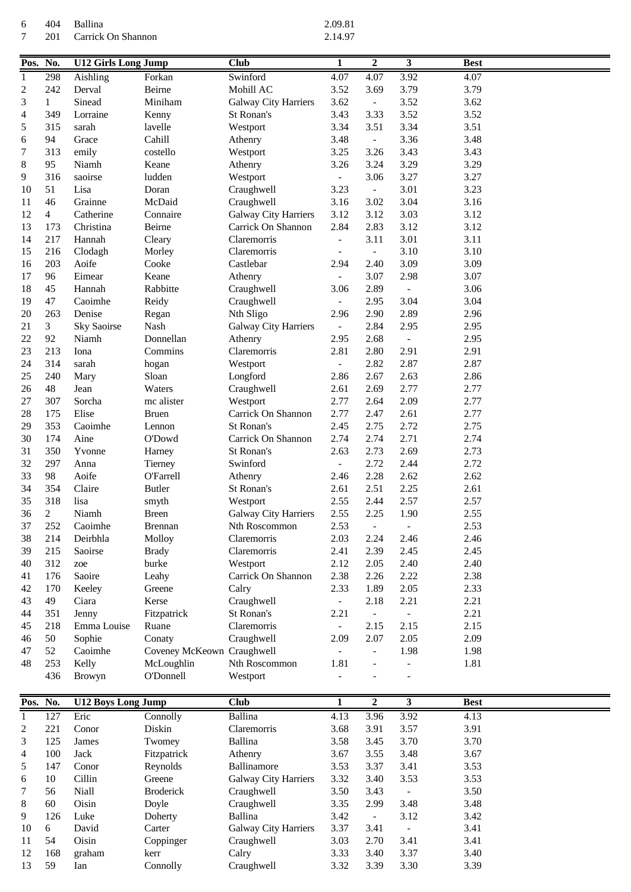404 Ballina 2.09.81 Carrick On Shannon

| Pos. No.         |                | <b>U12 Girls Long Jump</b> |                            | <b>Club</b>          | 1                        | $\boldsymbol{2}$         | $\overline{\mathbf{3}}$  | <b>Best</b> |  |
|------------------|----------------|----------------------------|----------------------------|----------------------|--------------------------|--------------------------|--------------------------|-------------|--|
| 1                | 298            | Aishling                   | Forkan                     | Swinford             | 4.07                     | 4.07                     | 3.92                     | 4.07        |  |
| $\boldsymbol{2}$ | 242            | Derval                     | Beirne                     | Mohill AC            | 3.52                     | 3.69                     | 3.79                     | 3.79        |  |
| 3                | $\mathbf{1}$   | Sinead                     | Miniham                    | Galway City Harriers | 3.62                     | $\blacksquare$           | 3.52                     | 3.62        |  |
| 4                | 349            | Lorraine                   | Kenny                      | St Ronan's           | 3.43                     | 3.33                     | 3.52                     | 3.52        |  |
| 5                | 315            | sarah                      | lavelle                    | Westport             | 3.34                     | 3.51                     | 3.34                     | 3.51        |  |
| 6                | 94             | Grace                      | Cahill                     | Athenry              | 3.48                     | $\blacksquare$           | 3.36                     | 3.48        |  |
| 7                | 313            | emily                      | costello                   | Westport             | 3.25                     | 3.26                     | 3.43                     | 3.43        |  |
| 8                | 95             | Niamh                      | Keane                      | Athenry              | 3.26                     | 3.24                     | 3.29                     | 3.29        |  |
| 9                | 316            | saoirse                    | ludden                     | Westport             | $\overline{\phantom{m}}$ | 3.06                     | 3.27                     | 3.27        |  |
| 10               | 51             | Lisa                       | Doran                      | Craughwell           | 3.23                     | $\overline{\phantom{a}}$ | 3.01                     | 3.23        |  |
| 11               | 46             | Grainne                    | McDaid                     | Craughwell           | 3.16                     | 3.02                     | 3.04                     | 3.16        |  |
| 12               | $\overline{4}$ | Catherine                  | Connaire                   | Galway City Harriers | 3.12                     | 3.12                     | 3.03                     | 3.12        |  |
| 13               | 173            | Christina                  | Beirne                     | Carrick On Shannon   | 2.84                     | 2.83                     | 3.12                     | 3.12        |  |
| 14               | 217            | Hannah                     | Cleary                     | Claremorris          | $\overline{\phantom{m}}$ | 3.11                     | 3.01                     | 3.11        |  |
| 15               | 216            | Clodagh                    | Morley                     | Claremorris          | $\overline{a}$           | $\blacksquare$           | 3.10                     | 3.10        |  |
| 16               | 203            | Aoife                      | Cooke                      | Castlebar            | 2.94                     | 2.40                     | 3.09                     | 3.09        |  |
| 17               | 96             | Eimear                     | Keane                      | Athenry              | $\overline{\phantom{a}}$ | 3.07                     | 2.98                     | 3.07        |  |
| 18               | 45             | Hannah                     | Rabbitte                   | Craughwell           | 3.06                     | 2.89                     | $\blacksquare$           | 3.06        |  |
| 19               | 47             | Caoimhe                    | Reidy                      | Craughwell           | $\overline{\phantom{a}}$ | 2.95                     | 3.04                     | 3.04        |  |
| 20               | 263            | Denise                     | Regan                      | Nth Sligo            | 2.96                     | 2.90                     | 2.89                     | 2.96        |  |
| 21               | 3              | <b>Sky Saoirse</b>         | Nash                       | Galway City Harriers |                          | 2.84                     | 2.95                     | 2.95        |  |
| 22               | 92             | Niamh                      | Donnellan                  | Athenry              | 2.95                     | 2.68                     | $\blacksquare$           | 2.95        |  |
| 23               | 213            | Iona                       | Commins                    | Claremorris          | 2.81                     | 2.80                     | 2.91                     | 2.91        |  |
| 24               | 314            | sarah                      | hogan                      | Westport             |                          | 2.82                     | 2.87                     | 2.87        |  |
| 25               | 240            | Mary                       | Sloan                      | Longford             | 2.86                     | 2.67                     | 2.63                     | 2.86        |  |
| 26               | 48             | Jean                       | Waters                     | Craughwell           | 2.61                     | 2.69                     | 2.77                     | 2.77        |  |
| 27               | 307            | Sorcha                     | mc alister                 | Westport             | 2.77                     | 2.64                     | 2.09                     | 2.77        |  |
| 28               | 175            | Elise                      | <b>Bruen</b>               | Carrick On Shannon   | 2.77                     | 2.47                     | 2.61                     | 2.77        |  |
| 29               | 353            | Caoimhe                    | Lennon                     | St Ronan's           | 2.45                     | 2.75                     | 2.72                     | 2.75        |  |
| 30               | 174            | Aine                       | O'Dowd                     | Carrick On Shannon   | 2.74                     | 2.74                     | 2.71                     | 2.74        |  |
| 31               | 350            | Yvonne                     | Harney                     | St Ronan's           | 2.63                     | 2.73                     | 2.69                     | 2.73        |  |
| 32               | 297            | Anna                       | Tierney                    | Swinford             | $\overline{\phantom{a}}$ | 2.72                     | 2.44                     | 2.72        |  |
| 33               | 98             | Aoife                      | <b>O'Farrell</b>           | Athenry              | 2.46                     | 2.28                     | 2.62                     | 2.62        |  |
| 34               | 354            | Claire                     | <b>Butler</b>              | St Ronan's           | 2.61                     | 2.51                     | 2.25                     | 2.61        |  |
| 35               | 318            | lisa                       | smyth                      | Westport             | 2.55                     | 2.44                     | 2.57                     | 2.57        |  |
| 36               | $\overline{c}$ | Niamh                      | <b>Breen</b>               | Galway City Harriers | 2.55                     | 2.25                     | 1.90                     | 2.55        |  |
| 37               | 252            | Caoimhe                    | <b>Brennan</b>             | Nth Roscommon        | 2.53                     | $\blacksquare$           | $\equiv$                 | 2.53        |  |
| 38               | 214            | Deirbhla                   | Molloy                     | Claremorris          | 2.03                     | 2.24                     | 2.46                     | 2.46        |  |
| 39               | 215            | Saoirse                    | <b>Brady</b>               | Claremorris          | 2.41                     | 2.39                     | 2.45                     | 2.45        |  |
| 40               | 312            | zoe                        | burke                      | Westport             | 2.12                     | 2.05                     | 2.40                     | 2.40        |  |
| 41               | 176            | Saoire                     | Leahy                      | Carrick On Shannon   | 2.38                     | 2.26                     | 2.22                     | 2.38        |  |
| 42               | 170            | Keeley                     | Greene                     | Calry                | 2.33                     | 1.89                     | 2.05                     | 2.33        |  |
| 43               | 49             | Ciara                      | Kerse                      | Craughwell           | $\blacksquare$           | 2.18                     | 2.21                     | 2.21        |  |
| 44               | 351            | Jenny                      | Fitzpatrick                | St Ronan's           | 2.21                     | $\pm$                    | $\equiv$                 | 2.21        |  |
| 45               | 218            | Emma Louise                | Ruane                      | Claremorris          | $\overline{\phantom{0}}$ | 2.15                     | 2.15                     | 2.15        |  |
| 46               | 50             | Sophie                     | Conaty                     | Craughwell           | 2.09                     | 2.07                     | 2.05                     | 2.09        |  |
| 47               | 52             | Caoimhe                    | Coveney McKeown Craughwell |                      |                          | $\overline{\phantom{a}}$ | 1.98                     | 1.98        |  |
| 48               | 253            | Kelly                      | McLoughlin                 | Nth Roscommon        | 1.81                     |                          | $\blacksquare$           | 1.81        |  |
|                  | 436            | Browyn                     | O'Donnell                  | Westport             |                          |                          |                          |             |  |
| Pos. No.         |                | <b>U12 Boys Long Jump</b>  |                            | <b>Club</b>          | 1                        | $\boldsymbol{2}$         | $\overline{\mathbf{3}}$  | <b>Best</b> |  |
| $\mathbf{1}$     | 127            | Eric                       | Connolly                   | Ballina              | 4.13                     | 3.96                     | 3.92                     | 4.13        |  |
| 2                | 221            | Conor                      | Diskin                     | Claremorris          | 3.68                     | 3.91                     | 3.57                     | 3.91        |  |
| 3                | 125            | James                      | Twomey                     | Ballina              | 3.58                     | 3.45                     | 3.70                     | 3.70        |  |
| 4                | 100            | Jack                       | Fitzpatrick                | Athenry              | 3.67                     | 3.55                     | 3.48                     | 3.67        |  |
| 5                | 147            | Conor                      | Reynolds                   | Ballinamore          | 3.53                     | 3.37                     | 3.41                     | 3.53        |  |
| 6                | 10             | Cillin                     | Greene                     | Galway City Harriers | 3.32                     | 3.40                     | 3.53                     | 3.53        |  |
| 7                | 56             | Niall                      | <b>Broderick</b>           | Craughwell           | 3.50                     | 3.43                     | $\overline{\phantom{a}}$ | 3.50        |  |
| $8\,$            | 60             | Oisin                      | Doyle                      | Craughwell           | 3.35                     | 2.99                     | 3.48                     | 3.48        |  |
| 9                | 126            | Luke                       | Doherty                    | Ballina              | 3.42                     | $\overline{\phantom{a}}$ | 3.12                     | 3.42        |  |

10 6 David Carter Galway City Harriers 3.37 3.41 - 3.41<br>11 54 Oisin Coppinger Craughwell 3.03 2.70 3.41 3.41

 168 graham kerr Calry 3.33 3.40 3.37 3.40 59 Ian Connolly Craughwell 3.32 3.39 3.30 3.39

11 54 Oisin Coppinger Craughwell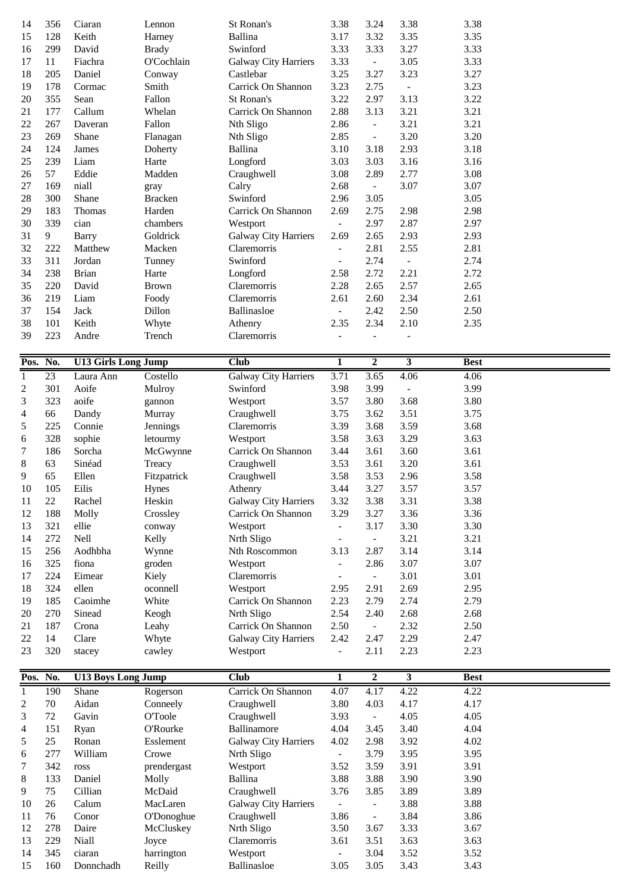| 14               | 356        | Ciaran                     | Lennon               | St Ronan's                  | 3.38                     | 3.24           | 3.38                    | 3.38         |  |
|------------------|------------|----------------------------|----------------------|-----------------------------|--------------------------|----------------|-------------------------|--------------|--|
| 15               | 128        | Keith                      | Harney               | <b>Ballina</b>              | 3.17                     | 3.32           | 3.35                    | 3.35         |  |
| 16               | 299        | David                      | <b>Brady</b>         | Swinford                    | 3.33                     | 3.33           | 3.27                    | 3.33         |  |
| 17               | 11         | Fiachra                    | O'Cochlain           | Galway City Harriers        | 3.33                     | $\mathbb{L}$   | 3.05                    | 3.33         |  |
| 18               | 205        | Daniel                     | Conway               | Castlebar                   | 3.25                     | 3.27           | 3.23                    | 3.27         |  |
| 19               | 178        | Cormac                     | Smith                | Carrick On Shannon          | 3.23                     | 2.75           | $\sim$                  | 3.23         |  |
| 20               | 355        | Sean                       | Fallon               | St Ronan's                  | 3.22                     | 2.97           | 3.13                    | 3.22         |  |
| 21               | 177        | Callum                     | Whelan               | Carrick On Shannon          | 2.88                     | 3.13           | 3.21                    | 3.21         |  |
| 22               | 267        | Daveran                    | Fallon               | Nth Sligo                   | 2.86                     | $\Box$         | 3.21                    | 3.21         |  |
| 23               | 269        | Shane                      | Flanagan             | Nth Sligo                   | 2.85                     | $\frac{1}{2}$  | 3.20                    | 3.20         |  |
| 24               | 124        | James                      | Doherty              | <b>Ballina</b>              | 3.10                     | 3.18           | 2.93                    | 3.18         |  |
| 25               | 239        | Liam                       | Harte                | Longford                    | 3.03                     | 3.03           | 3.16                    | 3.16         |  |
| 26               | 57         | Eddie                      | Madden               | Craughwell                  | 3.08                     | 2.89           | 2.77                    | 3.08         |  |
| 27               | 169        | niall                      | gray                 | Calry                       | 2.68                     | $\blacksquare$ | 3.07                    | 3.07         |  |
| 28               | 300        | Shane                      | <b>Bracken</b>       | Swinford                    | 2.96                     | 3.05           |                         | 3.05         |  |
| 29               | 183        | Thomas                     | Harden               | Carrick On Shannon          | 2.69                     | 2.75           | 2.98                    | 2.98         |  |
| 30               | 339        | cian                       | chambers             | Westport                    | $\equiv$                 | 2.97           | 2.87                    | 2.97         |  |
| 31               | 9          | <b>Barry</b>               | Goldrick             | Galway City Harriers        | 2.69                     | 2.65           | 2.93                    | 2.93         |  |
| 32               | 222        | Matthew                    | Macken               | Claremorris                 | $\overline{\phantom{a}}$ | 2.81           | 2.55                    | 2.81         |  |
| 33               | 311        | Jordan                     | Tunney               | Swinford                    | $\blacksquare$           | 2.74           | $\blacksquare$          | 2.74         |  |
| 34               | 238        | <b>Brian</b>               | Harte                | Longford                    | 2.58                     | 2.72           | 2.21                    | 2.72         |  |
| 35               | 220        | David                      | <b>Brown</b>         | Claremorris                 | 2.28                     | 2.65           | 2.57                    | 2.65         |  |
| 36               | 219        | Liam                       | Foody                | Claremorris                 | 2.61                     | 2.60           | 2.34                    | 2.61         |  |
| 37               | 154        | Jack                       | Dillon               | Ballinasloe                 | $\blacksquare$           | 2.42           | 2.50                    | 2.50         |  |
| 38               | 101        | Keith                      | Whyte                | Athenry                     | 2.35                     | 2.34           | 2.10                    | 2.35         |  |
| 39               | 223        | Andre                      | Trench               | Claremorris                 |                          |                |                         |              |  |
|                  |            |                            |                      |                             |                          |                |                         |              |  |
| Pos.             | No.        | <b>U13 Girls Long Jump</b> |                      | <b>Club</b>                 | 1                        | $\overline{2}$ | $\overline{\mathbf{3}}$ | <b>Best</b>  |  |
| $\overline{1}$   | 23         | Laura Ann                  | Costello             | <b>Galway City Harriers</b> | 3.71                     | 3.65           | 4.06                    | 4.06         |  |
| $\boldsymbol{2}$ | 301        | Aoife                      | Mulroy               | Swinford                    | 3.98                     | 3.99           | $\qquad \qquad -$       | 3.99         |  |
| 3                | 323        | aoife                      | gannon               | Westport                    | 3.57                     | 3.80           | 3.68                    | 3.80         |  |
| 4                | 66         | Dandy                      | Murray               | Craughwell                  | 3.75                     | 3.62           | 3.51                    | 3.75         |  |
| 5                | 225        | Connie                     | Jennings             | Claremorris                 | 3.39                     | 3.68           | 3.59                    | 3.68         |  |
| 6                | 328        | sophie                     | letourmy             | Westport                    | 3.58                     | 3.63           | 3.29                    | 3.63         |  |
| 7                | 186        | Sorcha                     | McGwynne             | Carrick On Shannon          | 3.44                     | 3.61           | 3.60                    | 3.61         |  |
| 8                | 63         | Sinéad                     | Treacy               | Craughwell                  | 3.53                     | 3.61           | 3.20                    | 3.61         |  |
| 9                | 65         | Ellen                      | Fitzpatrick          | Craughwell                  | 3.58                     | 3.53           | 2.96                    | 3.58         |  |
| 10               | 105        | Eilis                      | Hynes                | Athenry                     | 3.44                     | 3.27           | 3.57                    | 3.57         |  |
| 11               | $22\,$     | Rachel                     | Heskin               | Galway City Harriers        | 3.32                     | 3.38           | 3.31                    | 3.38         |  |
| 12               | 188        | Molly                      | Crossley             | Carrick On Shannon          | 3.29                     | 3.27           | 3.36                    | 3.36         |  |
| 13               | 321        | ellie                      | conway               | Westport                    | $\Box$                   | 3.17           | 3.30                    | 3.30         |  |
| 14               | 272        | Nell                       | Kelly                | Nrth Sligo                  | $\overline{\phantom{a}}$ | $\blacksquare$ | 3.21                    | 3.21         |  |
| 15               | 256        | Aodhbha                    | Wynne                | Nth Roscommon               | 3.13                     | 2.87           | 3.14                    | 3.14         |  |
| 16               | 325        | fiona                      | groden               | Westport                    | $\equiv$                 | 2.86           | 3.07                    | 3.07         |  |
| 17               | 224        | Eimear                     | Kiely                | Claremorris                 | $\overline{\phantom{a}}$ | $\blacksquare$ | 3.01                    | 3.01         |  |
| 18               | 324        | ellen                      | oconnell             | Westport                    | 2.95                     | 2.91           | 2.69                    | 2.95         |  |
| 19               | 185        | Caoimhe                    | White                | Carrick On Shannon          | 2.23                     | 2.79           | 2.74                    | 2.79         |  |
| 20               | 270        | Sinead                     | Keogh                | Nrth Sligo                  | 2.54                     | 2.40           | 2.68                    | 2.68         |  |
| 21               | 187        | Crona                      | Leahy                | Carrick On Shannon          | 2.50                     | $\sim$         | 2.32                    | 2.50         |  |
| 22               | 14         | Clare                      | Whyte                | Galway City Harriers        | 2.42                     | 2.47           | 2.29                    | 2.47         |  |
| 23               | 320        | stacey                     | cawley               | Westport                    | $\blacksquare$           | 2.11           | 2.23                    | 2.23         |  |
| Pos.             | No.        | <b>U13 Boys Long Jump</b>  |                      | <b>Club</b>                 | 1                        | $\overline{2}$ | $\overline{\mathbf{3}}$ | <b>Best</b>  |  |
| $\mathbf{1}$     | 190        | Shane                      | Rogerson             | Carrick On Shannon          | 4.07                     | 4.17           | 4.22                    | 4.22         |  |
| $\boldsymbol{2}$ | $70\,$     | Aidan                      | Conneely             | Craughwell                  | 3.80                     | 4.03           | 4.17                    | 4.17         |  |
| 3                | 72         | Gavin                      | <b>O'Toole</b>       | Craughwell                  | 3.93                     | $\blacksquare$ | 4.05                    | 4.05         |  |
| 4                | 151        | Ryan                       | O'Rourke             | Ballinamore                 | 4.04                     | 3.45           | 3.40                    | 4.04         |  |
| 5                | 25         | Ronan                      | Esslement            | Galway City Harriers        | 4.02                     | 2.98           | 3.92                    | 4.02         |  |
| 6                | 277        | William                    | Crowe                | Nrth Sligo                  | $\sim$                   | 3.79           | 3.95                    | 3.95         |  |
| 7                | 342        | ross                       | prendergast          | Westport                    | 3.52                     | 3.59           | 3.91                    | 3.91         |  |
| 8                | 133        | Daniel                     | Molly                | Ballina                     | 3.88                     | 3.88           | 3.90                    | 3.90         |  |
| 9                | 75         | Cillian                    | McDaid               | Craughwell                  | 3.76                     | 3.85           | 3.89                    | 3.89         |  |
| 10               | 26         | Calum                      | MacLaren             | Galway City Harriers        | $\omega_{\rm c}$         | $\blacksquare$ | 3.88                    | 3.88         |  |
| 11               |            |                            |                      |                             |                          |                |                         |              |  |
|                  |            |                            |                      |                             |                          |                |                         |              |  |
|                  | 76         | Conor                      | O'Donoghue           | Craughwell                  | 3.86                     | $\blacksquare$ | 3.84                    | 3.86         |  |
| 12               | 278        | Daire                      | McCluskey            | Nrth Sligo                  | 3.50                     | 3.67           | 3.33                    | 3.67         |  |
| 13               | 229        | Niall                      | Joyce                | Claremorris                 | 3.61<br>$\sim$           | 3.51           | 3.63                    | 3.63         |  |
| 14<br>15         | 345<br>160 | ciaran<br>Donnchadh        | harrington<br>Reilly | Westport<br>Ballinasloe     | 3.05                     | 3.04<br>3.05   | 3.52<br>3.43            | 3.52<br>3.43 |  |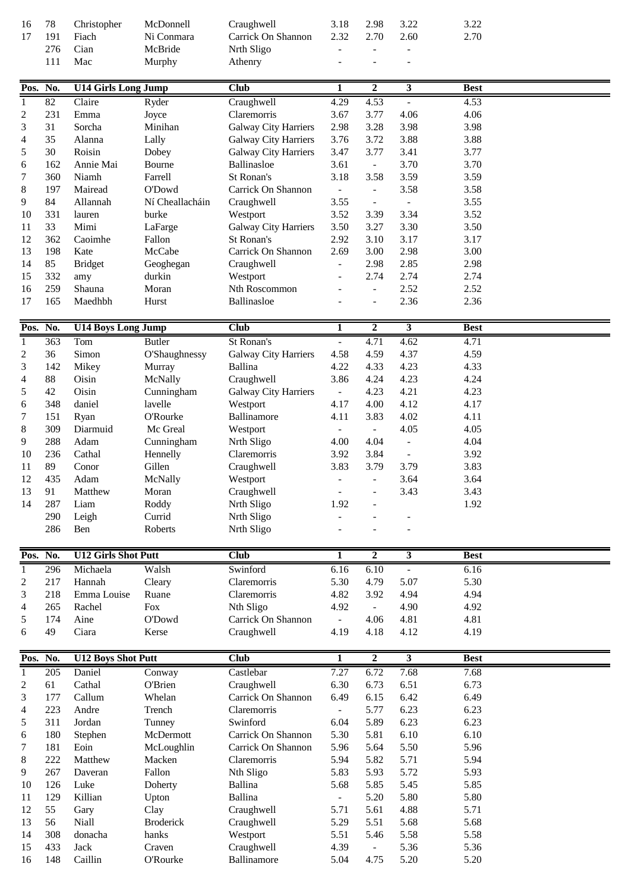| 16<br>17         | 78<br>191  | Christopher<br>Fiach       | McDonnell<br>Ni Conmara | Craughwell<br>Carrick On Shannon                           | 3.18<br>2.32             | 2.98<br>2.70                 | 3.22<br>2.60             | 3.22<br>2.70 |  |
|------------------|------------|----------------------------|-------------------------|------------------------------------------------------------|--------------------------|------------------------------|--------------------------|--------------|--|
|                  | 276        | Cian                       | McBride                 | Nrth Sligo                                                 | $\overline{a}$           | $\overline{\phantom{a}}$     | $\overline{\phantom{a}}$ |              |  |
|                  | 111        | Mac                        | Murphy                  | Athenry                                                    |                          |                              |                          |              |  |
|                  |            |                            |                         |                                                            |                          |                              |                          |              |  |
|                  | Pos. No.   | <b>U14 Girls Long Jump</b> |                         | <b>Club</b>                                                | 1                        | $\overline{2}$               | 3                        | <b>Best</b>  |  |
| $\mathbf{1}$     | 82         | Claire                     | Ryder                   | Craughwell                                                 | 4.29                     | 4.53                         | $\overline{\phantom{a}}$ | 4.53         |  |
| $\overline{c}$   | 231        | Emma                       | Joyce                   | Claremorris                                                | 3.67                     | 3.77                         | 4.06                     | 4.06         |  |
| 3                | 31         | Sorcha                     | Minihan                 | <b>Galway City Harriers</b>                                | 2.98                     | 3.28                         | 3.98                     | 3.98         |  |
| 4                | 35<br>30   | Alanna<br>Roisin           | Lally                   | <b>Galway City Harriers</b><br><b>Galway City Harriers</b> | 3.76                     | 3.72<br>3.77                 | 3.88                     | 3.88         |  |
| 5<br>6           | 162        | Annie Mai                  | Dobey<br>Bourne         | Ballinasloe                                                | 3.47<br>3.61             | $\mathbb{L}^{\mathbb{N}}$    | 3.41<br>3.70             | 3.77<br>3.70 |  |
| 7                | 360        | Niamh                      | Farrell                 | St Ronan's                                                 | 3.18                     | 3.58                         | 3.59                     | 3.59         |  |
| 8                | 197        | Mairead                    | O'Dowd                  | Carrick On Shannon                                         | $\omega_{\rm c}$         | $\overline{\phantom{a}}$     | 3.58                     | 3.58         |  |
| 9                | 84         | Allannah                   | Ní Cheallacháin         | Craughwell                                                 | 3.55                     | $\overline{\phantom{a}}$     | $\overline{\phantom{a}}$ | 3.55         |  |
| 10               | 331        | lauren                     | burke                   | Westport                                                   | 3.52                     | 3.39                         | 3.34                     | 3.52         |  |
| 11               | 33         | Mimi                       | LaFarge                 | <b>Galway City Harriers</b>                                | 3.50                     | 3.27                         | 3.30                     | 3.50         |  |
| 12               | 362        | Caoimhe                    | Fallon                  | St Ronan's                                                 | 2.92                     | 3.10                         | 3.17                     | 3.17         |  |
| 13               | 198        | Kate                       | McCabe                  | Carrick On Shannon                                         | 2.69                     | 3.00                         | 2.98                     | 3.00         |  |
| 14               | 85         | <b>Bridget</b>             | Geoghegan               | Craughwell                                                 |                          | 2.98                         | 2.85                     | 2.98         |  |
| 15               | 332        | amy                        | durkin                  | Westport                                                   |                          | 2.74                         | 2.74                     | 2.74         |  |
| 16               | 259        | Shauna                     | Moran                   | Nth Roscommon                                              |                          | $\overline{\phantom{a}}$     | 2.52                     | 2.52         |  |
| 17               | 165        | Maedhbh                    | Hurst                   | Ballinasloe                                                |                          | $\blacksquare$               | 2.36                     | 2.36         |  |
| Pos.             | No.        | <b>U14 Boys Long Jump</b>  |                         | <b>Club</b>                                                | $\mathbf{1}$             | $\overline{2}$               | $\overline{\mathbf{3}}$  | <b>Best</b>  |  |
| $\mathbf{1}$     | 363        | Tom                        | <b>Butler</b>           | St Ronan's                                                 | $\overline{\phantom{0}}$ | 4.71                         | 4.62                     | 4.71         |  |
| $\overline{c}$   | 36         | Simon                      | O'Shaughnessy           | Galway City Harriers                                       | 4.58                     | 4.59                         | 4.37                     | 4.59         |  |
| 3                | 142        | Mikey                      | Murray                  | <b>Ballina</b>                                             | 4.22                     | 4.33                         | 4.23                     | 4.33         |  |
| 4                | 88         | Oisin                      | McNally                 | Craughwell                                                 | 3.86                     | 4.24                         | 4.23                     | 4.24         |  |
| 5                | 42         | Oisin                      | Cunningham              | Galway City Harriers                                       | $\omega$                 | 4.23                         | 4.21                     | 4.23         |  |
| 6                | 348        | daniel                     | lavelle                 | Westport                                                   | 4.17                     | 4.00                         | 4.12                     | 4.17         |  |
| 7                | 151        | Ryan                       | O'Rourke                | Ballinamore                                                | 4.11                     | 3.83                         | 4.02                     | 4.11         |  |
| 8                | 309        | Diarmuid                   | Mc Greal                | Westport                                                   | $\overline{\phantom{0}}$ | $\blacksquare$               | 4.05                     | 4.05         |  |
| 9                | 288        | Adam                       | Cunningham              | Nrth Sligo                                                 | 4.00                     | 4.04                         | $\blacksquare$           | 4.04         |  |
| 10               | 236        | Cathal                     | Hennelly                | Claremorris                                                | 3.92                     | 3.84                         | $\blacksquare$           | 3.92         |  |
| 11               | 89         | Conor                      | Gillen                  | Craughwell                                                 | 3.83                     | 3.79                         | 3.79                     | 3.83         |  |
| 12               | 435        | Adam                       | McNally                 | Westport                                                   |                          | $\overline{\phantom{a}}$     | 3.64                     | 3.64         |  |
| 13<br>14         | 91<br>287  | Matthew<br>Liam            | Moran<br>Roddy          | Craughwell<br>Nrth Sligo                                   | 1.92                     | $\qquad \qquad \blacksquare$ | 3.43                     | 3.43<br>1.92 |  |
|                  | 290        | Leigh                      | Currid                  | Nrth Sligo                                                 |                          |                              |                          |              |  |
|                  | 286        | Ben                        | Roberts                 | Nrth Sligo                                                 |                          |                              |                          |              |  |
|                  |            |                            |                         |                                                            |                          |                              |                          |              |  |
| Pos.             | No.        | <b>U12 Girls Shot Putt</b> |                         | <b>Club</b>                                                | 1                        | $\mathbf{2}$                 | $\mathbf{3}$             | <b>Best</b>  |  |
| $\mathbf{1}$     | 296        | Michaela                   | Walsh                   | Swinford                                                   | 6.16                     | 6.10                         |                          | 6.16         |  |
| $\overline{c}$   | 217        | Hannah                     | Cleary                  | Claremorris                                                | 5.30                     | 4.79                         | 5.07                     | 5.30         |  |
| 3                | 218        | Emma Louise                | Ruane                   | Claremorris                                                | 4.82                     | 3.92                         | 4.94                     | 4.94         |  |
| 4                | 265        | Rachel                     | Fox                     | Nth Sligo<br>Carrick On Shannon                            | 4.92                     | $\mathcal{L}_{\mathcal{A}}$  | 4.90                     | 4.92         |  |
| 5<br>6           | 174<br>49  | Aine<br>Ciara              | O'Dowd<br>Kerse         | Craughwell                                                 | $\equiv$<br>4.19         | 4.06<br>4.18                 | 4.81<br>4.12             | 4.81<br>4.19 |  |
|                  |            |                            |                         |                                                            |                          |                              |                          |              |  |
|                  | Pos. No.   | <b>U12 Boys Shot Putt</b>  |                         | <b>Club</b>                                                | 1                        | $\overline{2}$               | $\overline{\mathbf{3}}$  | <b>Best</b>  |  |
| $\mathbf{1}$     | 205        | Daniel                     | Conway                  | Castlebar                                                  | 7.27                     | 6.72                         | 7.68                     | 7.68         |  |
| $\boldsymbol{2}$ | 61         | Cathal                     | O'Brien                 | Craughwell                                                 | 6.30                     | 6.73                         | 6.51                     | 6.73         |  |
| 3                | 177        | Callum                     | Whelan                  | Carrick On Shannon                                         | 6.49                     | 6.15                         | 6.42                     | 6.49         |  |
| 4                | 223        | Andre                      | Trench                  | Claremorris                                                | $\overline{\phantom{0}}$ | 5.77                         | 6.23                     | 6.23         |  |
| 5                | 311        | Jordan                     | Tunney                  | Swinford<br>Carrick On Shannon                             | 6.04                     | 5.89                         | 6.23                     | 6.23         |  |
| 6                | 180        | Stephen                    | McDermott               | Carrick On Shannon                                         | 5.30                     | 5.81<br>5.64                 | 6.10<br>5.50             | 6.10<br>5.96 |  |
| 7<br>8           | 181<br>222 | Eoin<br>Matthew            | McLoughlin<br>Macken    | Claremorris                                                | 5.96<br>5.94             | 5.82                         | 5.71                     | 5.94         |  |
| 9                | 267        | Daveran                    | Fallon                  | Nth Sligo                                                  | 5.83                     | 5.93                         | 5.72                     | 5.93         |  |
| 10               | 126        | Luke                       | Doherty                 | <b>Ballina</b>                                             | 5.68                     | 5.85                         | 5.45                     | 5.85         |  |
| 11               | 129        | Killian                    | Upton                   | Ballina                                                    | $\equiv$                 | 5.20                         | 5.80                     | 5.80         |  |
| 12               | 55         | Gary                       | Clay                    | Craughwell                                                 | 5.71                     | 5.61                         | 4.88                     | 5.71         |  |
| 13               | 56         | Niall                      | <b>Broderick</b>        | Craughwell                                                 | 5.29                     | 5.51                         | 5.68                     | 5.68         |  |
| 14               | 308        | donacha                    | hanks                   | Westport                                                   | 5.51                     | 5.46                         | 5.58                     | 5.58         |  |
| 15               | 433        | Jack                       | Craven                  | Craughwell                                                 | 4.39                     | $\overline{\phantom{a}}$     | 5.36                     | 5.36         |  |
| 16               | 148        | Caillin                    | O'Rourke                | Ballinamore                                                | 5.04                     | 4.75                         | 5.20                     | 5.20         |  |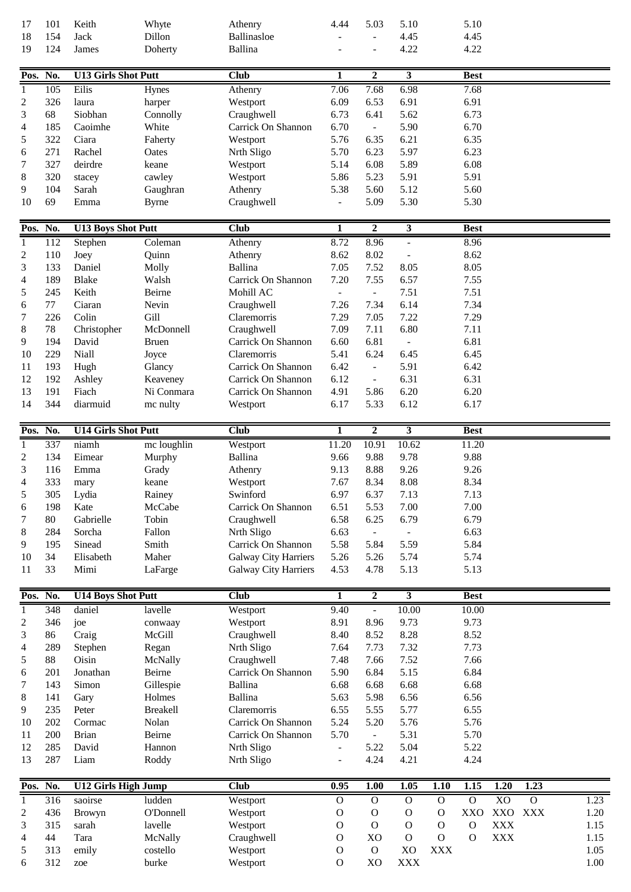| 17       | 101 | Keith                      | Whyte           | Athenry                     | 4.44                    | 5.03                     | 5.10                    |              | 5.10           |                |                |      |
|----------|-----|----------------------------|-----------------|-----------------------------|-------------------------|--------------------------|-------------------------|--------------|----------------|----------------|----------------|------|
| 18       | 154 | Jack                       | Dillon          | Ballinasloe                 |                         |                          | 4.45                    |              | 4.45           |                |                |      |
| 19       | 124 | James                      | Doherty         | <b>Ballina</b>              |                         |                          | 4.22                    |              | 4.22           |                |                |      |
| Pos. No. |     | <b>U13 Girls Shot Putt</b> |                 | <b>Club</b>                 | 1                       | $\mathbf{2}$             | $\mathbf{3}$            |              | <b>Best</b>    |                |                |      |
| 1        | 105 | Eilis                      | Hynes           | Athenry                     | 7.06                    | 7.68                     | 6.98                    |              | 7.68           |                |                |      |
| 2        | 326 | laura                      | harper          | Westport                    | 6.09                    | 6.53                     | 6.91                    |              | 6.91           |                |                |      |
| 3        | 68  | Siobhan                    | Connolly        | Craughwell                  | 6.73                    | 6.41                     | 5.62                    |              | 6.73           |                |                |      |
| 4        | 185 | Caoimhe                    | White           | Carrick On Shannon          | 6.70                    | $\sim$                   | 5.90                    |              | 6.70           |                |                |      |
| 5        | 322 | Ciara                      | Faherty         | Westport                    | 5.76                    | 6.35                     | 6.21                    |              | 6.35           |                |                |      |
| 6        | 271 | Rachel                     | Oates           | Nrth Sligo                  | 5.70                    | 6.23                     | 5.97                    |              | 6.23           |                |                |      |
| 7        | 327 | deirdre                    | keane           |                             |                         | 6.08                     | 5.89                    |              | 6.08           |                |                |      |
|          | 320 |                            |                 | Westport                    | 5.14<br>5.86            | 5.23                     | 5.91                    |              | 5.91           |                |                |      |
| 8        | 104 | stacey                     | cawley          | Westport                    |                         |                          |                         |              |                |                |                |      |
| 9<br>10  | 69  | Sarah                      | Gaughran        | Athenry                     | 5.38                    | 5.60<br>5.09             | 5.12<br>5.30            |              | 5.60<br>5.30   |                |                |      |
|          |     | Emma                       | <b>Byrne</b>    | Craughwell                  |                         |                          |                         |              |                |                |                |      |
| Pos. No. |     | <b>U13 Boys Shot Putt</b>  |                 | <b>Club</b>                 | 1                       | $\boldsymbol{2}$         | $\mathbf{3}$            |              | <b>Best</b>    |                |                |      |
| 1        | 112 | Stephen                    | Coleman         | Athenry                     | 8.72                    | 8.96                     | $\blacksquare$          |              | 8.96           |                |                |      |
| 2        | 110 | Joey                       | Quinn           | Athenry                     | 8.62                    | 8.02                     | $\overline{a}$          |              | 8.62           |                |                |      |
| 3        | 133 | Daniel                     | Molly           | <b>Ballina</b>              | 7.05                    | 7.52                     | 8.05                    |              | 8.05           |                |                |      |
| 4        | 189 | Blake                      | Walsh           | Carrick On Shannon          | 7.20                    | 7.55                     | 6.57                    |              | 7.55           |                |                |      |
| 5        | 245 | Keith                      | Beirne          | Mohill AC                   | $\equiv$                | $\blacksquare$           | 7.51                    |              | 7.51           |                |                |      |
| 6        | 77  | Ciaran                     | Nevin           | Craughwell                  | 7.26                    | 7.34                     | 6.14                    |              | 7.34           |                |                |      |
| 7        | 226 | Colin                      | Gill            | Claremorris                 | 7.29                    | 7.05                     | 7.22                    |              | 7.29           |                |                |      |
| 8        | 78  | Christopher                | McDonnell       | Craughwell                  | 7.09                    | 7.11                     | 6.80                    |              | 7.11           |                |                |      |
| 9        | 194 | David                      | <b>Bruen</b>    | Carrick On Shannon          | 6.60                    | 6.81                     | $\blacksquare$          |              | 6.81           |                |                |      |
| 10       | 229 | Niall                      | Joyce           | Claremorris                 | 5.41                    | 6.24                     | 6.45                    |              | 6.45           |                |                |      |
| 11       | 193 | Hugh                       | Glancy          | Carrick On Shannon          | 6.42                    | $\overline{\phantom{a}}$ | 5.91                    |              | 6.42           |                |                |      |
| 12       | 192 | Ashley                     | Keaveney        | Carrick On Shannon          | 6.12                    | $\overline{\phantom{a}}$ | 6.31                    |              | 6.31           |                |                |      |
| 13       | 191 | Fiach                      | Ni Conmara      | Carrick On Shannon          | 4.91                    | 5.86                     | 6.20                    |              | 6.20           |                |                |      |
| 14       | 344 | diarmuid                   | mc nulty        | Westport                    | 6.17                    | 5.33                     | 6.12                    |              | 6.17           |                |                |      |
|          |     |                            |                 |                             |                         |                          |                         |              |                |                |                |      |
| Pos. No. |     | <b>U14 Girls Shot Putt</b> |                 | <b>Club</b>                 | 1                       | $\overline{2}$           | $\overline{\mathbf{3}}$ |              | <b>Best</b>    |                |                |      |
| 1        | 337 | niamh                      | mc loughlin     | Westport                    | 11.20                   | 10.91                    | 10.62                   |              | 11.20          |                |                |      |
| 2        | 134 | Eimear                     | Murphy          | Ballina                     | 9.66                    | 9.88                     | 9.78                    |              | 9.88           |                |                |      |
| 3        | 116 | Emma                       | Grady           | Athenry                     | 9.13                    | 8.88                     | 9.26                    |              | 9.26           |                |                |      |
|          |     |                            |                 |                             |                         |                          | 8.08                    |              |                |                |                |      |
| 4        | 333 | mary                       | keane           | Westport                    | 7.67                    | 8.34                     |                         |              | 8.34           |                |                |      |
| 5        | 305 | Lydia                      | Rainey          | Swinford                    | 6.97                    | 6.37                     | 7.13                    |              | 7.13           |                |                |      |
| 6        | 198 | Kate                       | McCabe          | Carrick On Shannon          | 6.51                    | 5.53                     | 7.00                    |              | 7.00           |                |                |      |
| 7        | 80  | Gabrielle                  | Tobin           | Craughwell                  | 6.58                    | 6.25                     | 6.79                    |              | 6.79           |                |                |      |
| 8        | 284 | Sorcha                     | Fallon          | Nrth Sligo                  | 6.63                    | $\blacksquare$           |                         |              | 6.63           |                |                |      |
| 9        | 195 | Sinead                     | Smith           | Carrick On Shannon          | 5.58                    | 5.84                     | 5.59                    |              | 5.84           |                |                |      |
| 10       | 34  | Elisabeth                  | Maher           | <b>Galway City Harriers</b> | 5.26                    | 5.26                     | 5.74                    |              | 5.74           |                |                |      |
| 11       | 33  | Mimi                       | LaFarge         | <b>Galway City Harriers</b> | 4.53                    | 4.78                     | 5.13                    |              | 5.13           |                |                |      |
|          |     |                            |                 |                             | $\overline{\mathbf{1}}$ | $\overline{2}$           |                         |              |                |                |                |      |
| Pos. No. |     | <b>U14 Boys Shot Putt</b>  |                 | Club                        |                         |                          | $\overline{\mathbf{3}}$ |              | <b>Best</b>    |                |                |      |
| 1        | 348 | daniel                     | lavelle         | Westport                    | 9.40                    | $\overline{\phantom{a}}$ | 10.00                   |              | 10.00          |                |                |      |
| 2        | 346 | joe                        | conwaay         | Westport                    | 8.91                    | 8.96                     | 9.73                    |              | 9.73           |                |                |      |
| 3        | 86  | Craig                      | McGill          | Craughwell                  | 8.40                    | 8.52                     | 8.28                    |              | 8.52           |                |                |      |
| 4        | 289 | Stephen                    | Regan           | Nrth Sligo                  | 7.64                    | 7.73                     | 7.32                    |              | 7.73           |                |                |      |
| 5        | 88  | Oisin                      | McNally         | Craughwell                  | 7.48                    | 7.66                     | 7.52                    |              | 7.66           |                |                |      |
| 6        | 201 | Jonathan                   | Beirne          | Carrick On Shannon          | 5.90                    | 6.84                     | 5.15                    |              | 6.84           |                |                |      |
| 7        | 143 | Simon                      | Gillespie       | <b>Ballina</b>              | 6.68                    | 6.68                     | 6.68                    |              | 6.68           |                |                |      |
| 8        | 141 | Gary                       | Holmes          | <b>Ballina</b>              | 5.63                    | 5.98                     | 6.56                    |              | 6.56           |                |                |      |
| 9        | 235 | Peter                      | <b>Breakell</b> | Claremorris                 | 6.55                    | 5.55                     | 5.77                    |              | 6.55           |                |                |      |
| 10       | 202 | Cormac                     | Nolan           | Carrick On Shannon          | 5.24                    | 5.20                     | 5.76                    |              | 5.76           |                |                |      |
| 11       | 200 | <b>Brian</b>               | Beirne          | Carrick On Shannon          | 5.70                    | $\overline{\phantom{a}}$ | 5.31                    |              | 5.70           |                |                |      |
| 12       | 285 | David                      | Hannon          | Nrth Sligo                  | $\blacksquare$          | 5.22                     | 5.04                    |              | 5.22           |                |                |      |
| 13       | 287 | Liam                       | Roddy           | Nrth Sligo                  | $\overline{a}$          | 4.24                     | 4.21                    |              | 4.24           |                |                |      |
| Pos.     | No. | <b>U12 Girls High Jump</b> |                 | <b>Club</b>                 | 0.95                    | 1.00                     | 1.05                    | 1.10         | 1.15           | 1.20           | 1.23           |      |
| 1        | 316 | saoirse                    | ludden          | Westport                    | $\mathbf O$             | $\mathbf{O}$             | $\mathbf{O}$            | $\mathbf{O}$ | $\overline{0}$ | X <sub>O</sub> | $\overline{0}$ | 1.23 |
| 2        | 436 | Browyn                     | O'Donnell       | Westport                    | $\mathbf O$             | $\mathbf{O}$             | $\mathbf O$             | $\mathbf{O}$ | XXO            | XXO XXX        |                | 1.20 |
| 3        | 315 | sarah                      | lavelle         | Westport                    | $\mathbf O$             | $\mathbf O$              | $\Omega$                | $\mathbf O$  | $\mathbf O$    | <b>XXX</b>     |                | 1.15 |
| 4        | 44  | Tara                       | McNally         | Craughwell                  | $\mathbf O$             | X <sub>O</sub>           | $\mathbf{O}$            | $\mathbf O$  | $\mathbf{O}$   | <b>XXX</b>     |                | 1.15 |
| 5        | 313 | emily                      | costello        | Westport                    | $\mathbf O$             | ${\cal O}$               | X <sub>O</sub>          | <b>XXX</b>   |                |                |                | 1.05 |